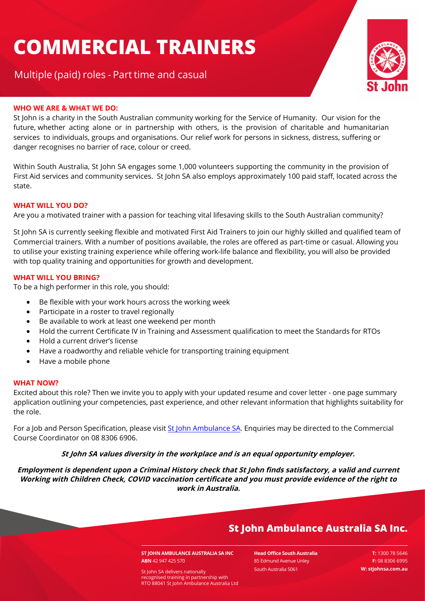# **COMMERCIAL TRAINERS**

Multiple (paid) roles - Part time and casual

#### **WHO WE ARE & WHAT WE DO:**

St John is a charity in the South Australian community working for the Service of Humanity. Our vision for the future, whether acting alone or in partnership with others, is the provision of charitable and humanitarian services to individuals, groups and organisations. Our relief work for persons in sickness, distress, suffering or danger recognises no barrier of race, colour or creed.

Within South Australia, St John SA engages some 1,000 volunteers supporting the community in the provision of First Aid services and community services. St John SA also employs approximately 100 paid staff, located across the state.

#### **WHAT WILL YOU DO?**

Are you a motivated trainer with a passion for teaching vital lifesaving skills to the South Australian community?

St John SA is currently seeking flexible and motivated First Aid Trainers to join our highly skilled and qualified team of Commercial trainers. With a number of positions available, the roles are offered as part-time or casual. Allowing you to utilise your existing training experience while offering work-life balance and flexibility, you will also be provided with top quality training and opportunities for growth and development.

#### **WHAT WILL YOU BRING?**

To be a high performer in this role, you should:

- Be flexible with your work hours across the working week
- Participate in a roster to travel regionally
- Be available to work at least one weekend per month
- Hold the current Certificate IV in Training and Assessment qualification to meet the Standards for RTOs
- Hold a current driver's license
- Have a roadworthy and reliable vehicle for transporting training equipment
- Have a mobile phone

#### **WHAT NOW?**

Excited about this role? Then we invite you to apply with your updated resume and cover letter - one page summary application outlining your competencies, past experience, and other relevant information that highlights suitability for the role.

For a Job and Person Specification, please visit St John Ambulance SA. Enquiries may be directed to the Commercial Course Coordinator on 08 8306 6906.

#### **St John SA values diversity in the workplace and is an equal opportunity employer.**

**Employment is dependent upon a Criminal History check that St John finds satisfactory, a valid and current Working with Children Check, COVID vaccination certificate and you must provide evidence of the right to work in Australia.**

## **St John Ambulance Australia SA Inc.**

**ST JOHN AMBULANCE AUSTRALIA SA INC ABN** 42 947 425 570

**Head Office South Australia** 85 Edmund Avenue Unley South Australia 5061 **W: stjohnsa.com.au** St John SA delivers nationally

 **T:** 1300 78 5646  **F:** 08 8306 6995

recognised training in partnership with RTO 88041 St John Ambulance Australia Ltd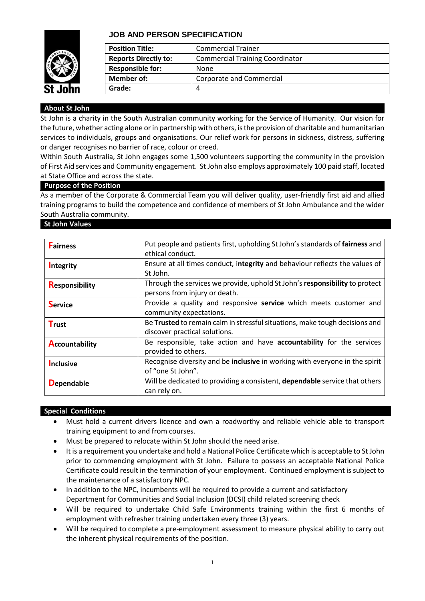

### **JOB AND PERSON SPECIFICATION**

| <b>Position Title:</b>      | <b>Commercial Trainer</b>              |
|-----------------------------|----------------------------------------|
| <b>Reports Directly to:</b> | <b>Commercial Training Coordinator</b> |
| <b>Responsible for:</b>     | None                                   |
| Member of:                  | <b>Corporate and Commercial</b>        |
| Grade:                      | 4                                      |

#### **About St John**

St John is a charity in the South Australian community working for the Service of Humanity. Our vision for the future, whether acting alone or in partnership with others, is the provision of charitable and humanitarian services to individuals, groups and organisations. Our relief work for persons in sickness, distress, suffering or danger recognises no barrier of race, colour or creed.

Within South Australia, St John engages some 1,500 volunteers supporting the community in the provision of First Aid services and Community engagement. St John also employs approximately 100 paid staff, located at State Office and across the state.

#### **Purpose of the Position**

As a member of the Corporate & Commercial Team you will deliver quality, user-friendly first aid and allied training programs to build the competence and confidence of members of St John Ambulance and the wider South Australia community.

#### **St John Values**

| <b>Fairness</b>       | Put people and patients first, upholding St John's standards of fairness and<br>ethical conduct.             |
|-----------------------|--------------------------------------------------------------------------------------------------------------|
| Integrity             | Ensure at all times conduct, integrity and behaviour reflects the values of<br>St John.                      |
| <b>Responsibility</b> | Through the services we provide, uphold St John's responsibility to protect<br>persons from injury or death. |
| <b>Service</b>        | Provide a quality and responsive service which meets customer and<br>community expectations.                 |
| <b>Trust</b>          | Be Trusted to remain calm in stressful situations, make tough decisions and<br>discover practical solutions. |
| <b>Accountability</b> | Be responsible, take action and have accountability for the services<br>provided to others.                  |
| Inclusive             | Recognise diversity and be inclusive in working with everyone in the spirit<br>of "one St John".             |
| <b>Dependable</b>     | Will be dedicated to providing a consistent, dependable service that others<br>can rely on.                  |

#### **Special Conditions**

- Must hold a current drivers licence and own a roadworthy and reliable vehicle able to transport training equipment to and from courses.
- Must be prepared to relocate within St John should the need arise.
- It is a requirement you undertake and hold a National Police Certificate which is acceptable to St John prior to commencing employment with St John. Failure to possess an acceptable National Police Certificate could result in the termination of your employment. Continued employment is subject to the maintenance of a satisfactory NPC.
- In addition to the NPC, incumbents will be required to provide a current and satisfactory Department for Communities and Social Inclusion (DCSI) child related screening check
- Will be required to undertake Child Safe Environments training within the first 6 months of employment with refresher training undertaken every three (3) years.
- Will be required to complete a pre-employment assessment to measure physical ability to carry out the inherent physical requirements of the position.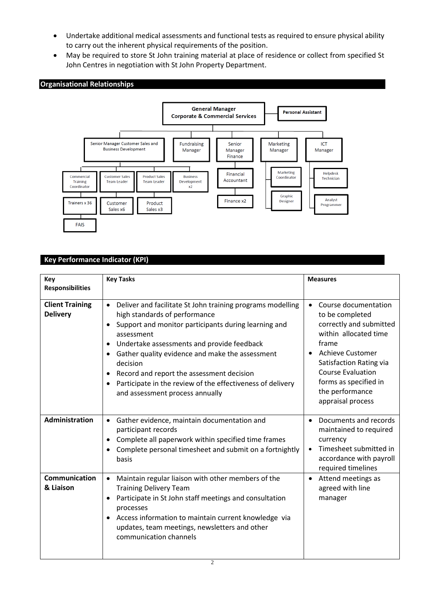- Undertake additional medical assessments and functional tests as required to ensure physical ability to carry out the inherent physical requirements of the position.
- May be required to store St John training material at place of residence or collect from specified St John Centres in negotiation with St John Property Department.

#### **Organisational Relationships**



#### **Key Performance Indicator (KPI)**

| Key                     | <b>Key Tasks</b>                                                        | <b>Measures</b>                      |
|-------------------------|-------------------------------------------------------------------------|--------------------------------------|
| <b>Responsibilities</b> |                                                                         |                                      |
|                         |                                                                         |                                      |
| <b>Client Training</b>  | Deliver and facilitate St John training programs modelling<br>$\bullet$ | Course documentation<br>$\bullet$    |
| <b>Delivery</b>         | high standards of performance                                           | to be completed                      |
|                         | Support and monitor participants during learning and<br>$\bullet$       | correctly and submitted              |
|                         | assessment                                                              | within allocated time                |
|                         | Undertake assessments and provide feedback<br>$\bullet$                 | frame                                |
|                         | Gather quality evidence and make the assessment<br>$\bullet$            | <b>Achieve Customer</b><br>$\bullet$ |
|                         | decision                                                                | Satisfaction Rating via              |
|                         | Record and report the assessment decision                               | <b>Course Evaluation</b>             |
|                         | Participate in the review of the effectiveness of delivery              | forms as specified in                |
|                         | and assessment process annually                                         | the performance                      |
|                         |                                                                         | appraisal process                    |
|                         |                                                                         |                                      |
| <b>Administration</b>   | Gather evidence, maintain documentation and<br>$\bullet$                | Documents and records<br>$\bullet$   |
|                         | participant records                                                     | maintained to required               |
|                         | Complete all paperwork within specified time frames                     | currency                             |
|                         | Complete personal timesheet and submit on a fortnightly<br>$\bullet$    | Timesheet submitted in<br>$\bullet$  |
|                         | basis                                                                   | accordance with payroll              |
|                         |                                                                         | required timelines                   |
| Communication           | Maintain regular liaison with other members of the<br>$\bullet$         | Attend meetings as<br>$\bullet$      |
| & Liaison               | <b>Training Delivery Team</b>                                           | agreed with line                     |
|                         | Participate in St John staff meetings and consultation                  | manager                              |
|                         | processes                                                               |                                      |
|                         | Access information to maintain current knowledge via                    |                                      |
|                         | updates, team meetings, newsletters and other                           |                                      |
|                         | communication channels                                                  |                                      |
|                         |                                                                         |                                      |
|                         |                                                                         |                                      |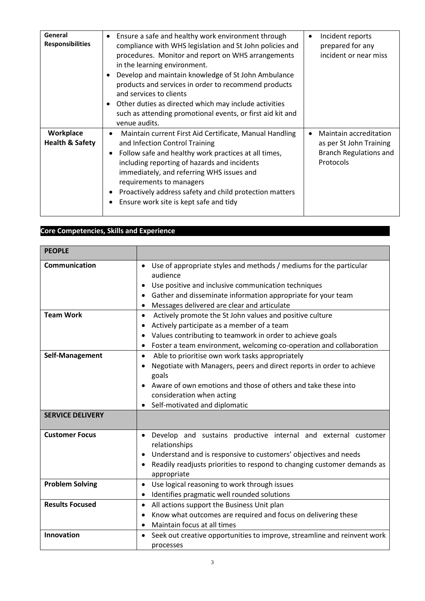| General<br><b>Responsibilities</b>             | Ensure a safe and healthy work environment through<br>compliance with WHS legislation and St John policies and<br>procedures. Monitor and report on WHS arrangements<br>in the learning environment.<br>Develop and maintain knowledge of St John Ambulance<br>$\bullet$<br>products and services in order to recommend products<br>and services to clients<br>Other duties as directed which may include activities<br>such as attending promotional events, or first aid kit and<br>venue audits. | Incident reports<br>٠<br>prepared for any<br>incident or near miss                              |
|------------------------------------------------|-----------------------------------------------------------------------------------------------------------------------------------------------------------------------------------------------------------------------------------------------------------------------------------------------------------------------------------------------------------------------------------------------------------------------------------------------------------------------------------------------------|-------------------------------------------------------------------------------------------------|
| <b>Workplace</b><br><b>Health &amp; Safety</b> | Maintain current First Aid Certificate, Manual Handling<br>$\bullet$<br>and Infection Control Training<br>Follow safe and healthy work practices at all times,<br>$\bullet$<br>including reporting of hazards and incidents<br>immediately, and referring WHS issues and<br>requirements to managers<br>Proactively address safety and child protection matters<br>٠<br>Ensure work site is kept safe and tidy                                                                                      | Maintain accreditation<br>as per St John Training<br><b>Branch Regulations and</b><br>Protocols |

# **Core Competencies, Skills and Experience**

| <b>PEOPLE</b>           |                                                                                                                                                                                                                                                                                |
|-------------------------|--------------------------------------------------------------------------------------------------------------------------------------------------------------------------------------------------------------------------------------------------------------------------------|
| Communication           | Use of appropriate styles and methods / mediums for the particular<br>audience<br>Use positive and inclusive communication techniques<br>Gather and disseminate information appropriate for your team<br>$\bullet$<br>Messages delivered are clear and articulate<br>$\bullet$ |
| <b>Team Work</b>        | Actively promote the St John values and positive culture<br>$\bullet$<br>Actively participate as a member of a team<br>Values contributing to teamwork in order to achieve goals<br>Foster a team environment, welcoming co-operation and collaboration                        |
| Self-Management         | Able to prioritise own work tasks appropriately<br>$\bullet$<br>Negotiate with Managers, peers and direct reports in order to achieve<br>goals<br>Aware of own emotions and those of others and take these into<br>consideration when acting<br>Self-motivated and diplomatic  |
| <b>SERVICE DELIVERY</b> |                                                                                                                                                                                                                                                                                |
| <b>Customer Focus</b>   | Develop and sustains productive internal and external customer<br>relationships<br>Understand and is responsive to customers' objectives and needs<br>$\bullet$<br>Readily readjusts priorities to respond to changing customer demands as<br>appropriate                      |
| <b>Problem Solving</b>  | Use logical reasoning to work through issues<br>$\bullet$<br>Identifies pragmatic well rounded solutions<br>$\bullet$                                                                                                                                                          |
| <b>Results Focused</b>  | All actions support the Business Unit plan<br>$\bullet$<br>Know what outcomes are required and focus on delivering these<br>$\bullet$<br>Maintain focus at all times                                                                                                           |
| Innovation              | Seek out creative opportunities to improve, streamline and reinvent work<br>$\bullet$<br>processes                                                                                                                                                                             |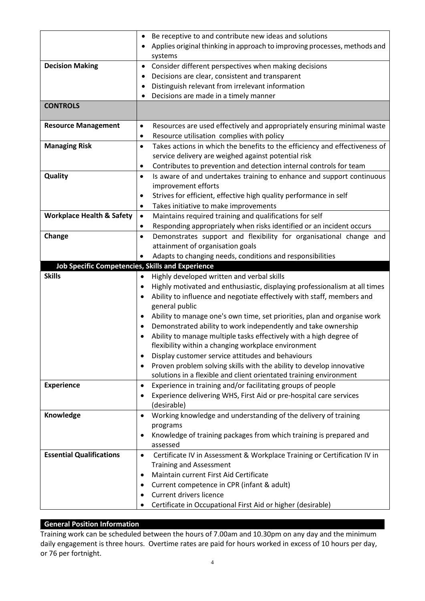|                                                         | Be receptive to and contribute new ideas and solutions                                                                                 |  |
|---------------------------------------------------------|----------------------------------------------------------------------------------------------------------------------------------------|--|
|                                                         | Applies original thinking in approach to improving processes, methods and                                                              |  |
|                                                         | systems                                                                                                                                |  |
| <b>Decision Making</b>                                  | Consider different perspectives when making decisions<br>$\bullet$                                                                     |  |
|                                                         | Decisions are clear, consistent and transparent<br>٠                                                                                   |  |
|                                                         | Distinguish relevant from irrelevant information                                                                                       |  |
|                                                         | Decisions are made in a timely manner                                                                                                  |  |
| <b>CONTROLS</b>                                         |                                                                                                                                        |  |
|                                                         |                                                                                                                                        |  |
| <b>Resource Management</b>                              | Resources are used effectively and appropriately ensuring minimal waste<br>$\bullet$                                                   |  |
|                                                         | Resource utilisation complies with policy<br>٠                                                                                         |  |
| <b>Managing Risk</b>                                    | Takes actions in which the benefits to the efficiency and effectiveness of                                                             |  |
|                                                         | service delivery are weighed against potential risk                                                                                    |  |
|                                                         | Contributes to prevention and detection internal controls for team<br>$\bullet$                                                        |  |
| Quality                                                 | Is aware of and undertakes training to enhance and support continuous<br>$\bullet$                                                     |  |
|                                                         | improvement efforts                                                                                                                    |  |
|                                                         | Strives for efficient, effective high quality performance in self<br>٠                                                                 |  |
|                                                         | Takes initiative to make improvements<br>$\bullet$                                                                                     |  |
| <b>Workplace Health &amp; Safety</b>                    | Maintains required training and qualifications for self<br>$\bullet$                                                                   |  |
|                                                         | Responding appropriately when risks identified or an incident occurs<br>٠                                                              |  |
| Change                                                  | Demonstrates support and flexibility for organisational change and<br>$\bullet$                                                        |  |
|                                                         | attainment of organisation goals                                                                                                       |  |
|                                                         | Adapts to changing needs, conditions and responsibilities                                                                              |  |
| <b>Job Specific Competencies, Skills and Experience</b> |                                                                                                                                        |  |
|                                                         |                                                                                                                                        |  |
| <b>Skills</b>                                           | $\bullet$                                                                                                                              |  |
|                                                         | Highly developed written and verbal skills<br>$\bullet$                                                                                |  |
|                                                         | Highly motivated and enthusiastic, displaying professionalism at all times                                                             |  |
|                                                         | Ability to influence and negotiate effectively with staff, members and                                                                 |  |
|                                                         | general public<br>$\bullet$                                                                                                            |  |
|                                                         | Ability to manage one's own time, set priorities, plan and organise work<br>$\bullet$                                                  |  |
|                                                         | Demonstrated ability to work independently and take ownership<br>$\bullet$                                                             |  |
|                                                         | Ability to manage multiple tasks effectively with a high degree of                                                                     |  |
|                                                         | flexibility within a changing workplace environment                                                                                    |  |
|                                                         | Display customer service attitudes and behaviours                                                                                      |  |
|                                                         | Proven problem solving skills with the ability to develop innovative                                                                   |  |
| <b>Experience</b>                                       | solutions in a flexible and client orientated training environment<br>Experience in training and/or facilitating groups of people<br>٠ |  |
|                                                         |                                                                                                                                        |  |
|                                                         | Experience delivering WHS, First Aid or pre-hospital care services                                                                     |  |
|                                                         | (desirable)<br>$\bullet$                                                                                                               |  |
| Knowledge                                               | Working knowledge and understanding of the delivery of training<br>programs                                                            |  |
|                                                         | Knowledge of training packages from which training is prepared and<br>$\bullet$                                                        |  |
|                                                         | assessed                                                                                                                               |  |
| <b>Essential Qualifications</b>                         | Certificate IV in Assessment & Workplace Training or Certification IV in<br>$\bullet$                                                  |  |
|                                                         | <b>Training and Assessment</b>                                                                                                         |  |
|                                                         | Maintain current First Aid Certificate                                                                                                 |  |
|                                                         | Current competence in CPR (infant & adult)                                                                                             |  |
|                                                         | Current drivers licence                                                                                                                |  |
|                                                         | Certificate in Occupational First Aid or higher (desirable)                                                                            |  |

## **General Position Information**

Training work can be scheduled between the hours of 7.00am and 10.30pm on any day and the minimum daily engagement is three hours. Overtime rates are paid for hours worked in excess of 10 hours per day, or 76 per fortnight.